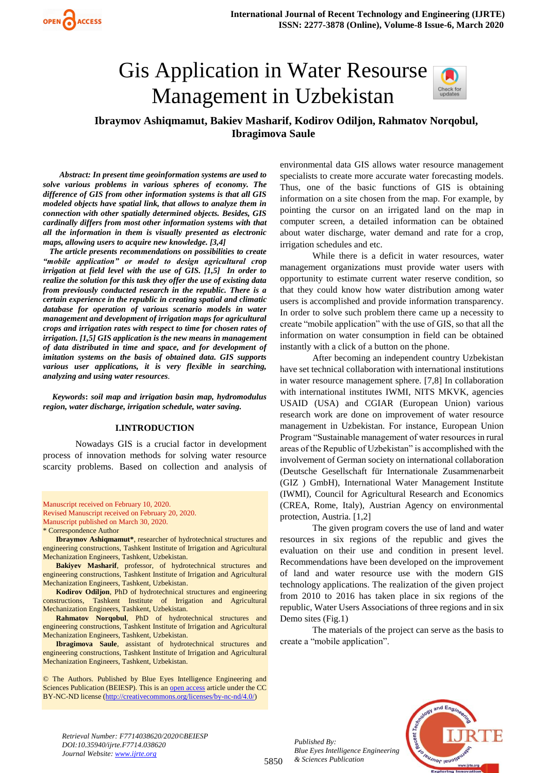# Gis Application in Water Resourse Management in Uzbekistan



# **Ibraymov Ashiqmamut, Bakiev Masharif, Kodirov Odiljon, Rahmatov Norqobul, Ibragimova Saule**

*Abstract: In present time geoinformation systems are used to solve various problems in various spheres of economy. The difference of GIS from other information systems is that all GIS modeled objects have spatial link, that allows to analyze them in connection with other spatially determined objects. Besides, GIS cardinally differs from most other information systems with that all the information in them is visually presented as electronic maps, allowing users to acquire new knowledge. [3,4]*

*The article presents recommendations on possibilities to create "mobile application" or model to design agricultural crop irrigation at field level with the use of GIS. [1,5] In order to realize the solution for this task they offer the use of existing data from previously conducted research in the republic. There is a certain experience in the republic in creating spatial and climatic database for operation of various scenario models in water management and development of irrigation maps for agricultural crops and irrigation rates with respect to time for chosen rates of irrigation. [1,5] GIS application is the new means in management of data distributed in time and space, and for development of imitation systems on the basis of obtained data. GIS supports various user applications, it is very flexible in searching, analyzing and using water resources.*

*Keywords***:** *soil map and irrigation basin map, hydromodulus region, water discharge, irrigation schedule, water saving.*

#### **I.INTRODUCTION**

Nowadays GIS is a crucial factor in development process of innovation methods for solving water resource scarcity problems. Based on collection and analysis of

Manuscript received on February 10, 2020. Revised Manuscript received on February 20, 2020. Manuscript published on March 30, 2020. \* Correspondence Author

**Ibraymov Ashiqmamut\***, researcher of hydrotechnical structures and engineering constructions, Tashkent Institute of Irrigation and Agricultural Mechanization Engineers, Tashkent, Uzbekistan.

**Bakiyev Masharif**, professor, of hydrotechnical structures and engineering constructions, Tashkent Institute of Irrigation and Agricultural Mechanization Engineers, Tashkent, Uzbekistan.

**Kodirov Odiljon**, PhD of hydrotechnical structures and engineering constructions, Tashkent Institute of Irrigation and Agricultural Mechanization Engineers, Tashkent, Uzbekistan.

**Rahmatov Norqobul**, PhD of hydrotechnical structures and engineering constructions, Tashkent Institute of Irrigation and Agricultural Mechanization Engineers, Tashkent, Uzbekistan.

**Ibragimova Saule**, assistant of hydrotechnical structures and engineering constructions, Tashkent Institute of Irrigation and Agricultural Mechanization Engineers, Tashkent, Uzbekistan.

© The Authors. Published by Blue Eyes Intelligence Engineering and Sciences Publication (BEIESP). This is an [open access](https://www.openaccess.nl/en/open-publications) article under the CC BY-NC-ND license [\(http://creativecommons.org/licenses/by-nc-nd/4.0/\)](http://creativecommons.org/licenses/by-nc-nd/4.0/)

environmental data GIS allows water resource management specialists to create more accurate water forecasting models. Thus, one of the basic functions of GIS is obtaining information on a site chosen from the map. For example, by pointing the cursor on an irrigated land on the map in computer screen, a detailed information can be obtained about water discharge, water demand and rate for a crop, irrigation schedules and etc.

While there is a deficit in water resources, water management organizations must provide water users with opportunity to estimate current water reserve condition, so that they could know how water distribution among water users is accomplished and provide information transparency. In order to solve such problem there came up a necessity to create "mobile application" with the use of GIS, so that all the information on water consumption in field can be obtained instantly with a click of a button on the phone.

After becoming an independent country Uzbekistan have set technical collaboration with international institutions in water resource management sphere. [7,8] In collaboration with international institutes IWMI, NITS MKVK, agencies USAID (USA) and CGIAR (European Union) various research work are done on improvement of water resource management in Uzbekistan. For instance, European Union Program "Sustainable management of water resources in rural areas of the Republic of Uzbekistan" is accomplished with the involvement of German society on international collaboration (Deutsche Gesellschaft für Internationale Zusammenarbeit (GIZ ) GmbH), International Water Management Institute (IWMI), Council for Agricultural Research and Economics (CREA, Rome, Italy), Austrian Agency on environmental protection, Austria. [1,2]

The given program covers the use of land and water resources in six regions of the republic and gives the evaluation on their use and condition in present level. Recommendations have been developed on the improvement of land and water resource use with the modern GIS technology applications. The realization of the given project from 2010 to 2016 has taken place in six regions of the republic, Water Users Associations of three regions and in six Demo sites (Fig.1)

The materials of the project can serve as the basis to create a "mobile application".



*Retrieval Number: F7714038620/2020©BEIESP DOI:10.35940/ijrte.F7714.038620 Journal Website: www.ijrte.org*

5850

*Published By: Blue Eyes Intelligence Engineering & Sciences Publication*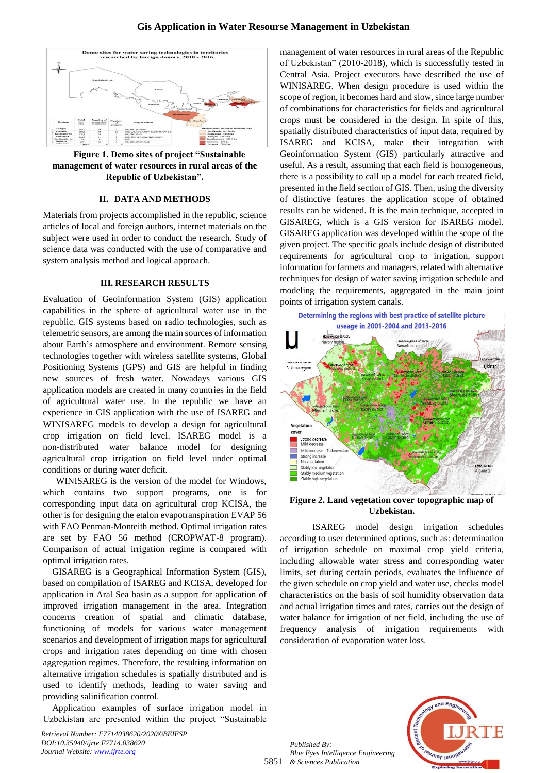

**Figure 1. Demo sites of project "Sustainable management of water resources in rural areas of the Republic of Uzbekistan".**

#### **II. DATA AND METHODS**

Materials from projects accomplished in the republic, science articles of local and foreign authors, internet materials on the subject were used in order to conduct the research. Study of science data was conducted with the use of comparative and system analysis method and logical approach.

#### **III. RESEARCH RESULTS**

Evaluation of Geoinformation System (GIS) application capabilities in the sphere of agricultural water use in the republic. GIS systems based on radio technologies, such as telemetric sensors, are among the main sources of information about Earth's atmosphere and environment. Remote sensing technologies together with wireless satellite systems, Global Positioning Systems (GPS) and GIS are helpful in finding new sources of fresh water. Nowadays various GIS application models are created in many countries in the field of agricultural water use. In the republic we have an experience in GIS application with the use of ISAREG and WINISAREG models to develop a design for agricultural crop irrigation on field level. ISAREG model is a non-distributed water balance model for designing agricultural crop irrigation on field level under optimal conditions or during water deficit.

WINISAREG is the version of the model for Windows, which contains two support programs, one is for corresponding input data on agricultural crop KCISA, the other is for designing the etalon evapotranspiration EVAP 56 with FAO Penman-Monteith method. Optimal irrigation rates are set by FAO 56 method (CROPWAT-8 program). Comparison of actual irrigation regime is compared with optimal irrigation rates.

GISAREG is a Geographical Information System (GIS), based on compilation of ISAREG and KCISA, developed for application in Aral Sea basin as a support for application of improved irrigation management in the area. Integration concerns creation of spatial and climatic database, functioning of models for various water management scenarios and development of irrigation maps for agricultural crops and irrigation rates depending on time with chosen aggregation regimes. Therefore, the resulting information on alternative irrigation schedules is spatially distributed and is used to identify methods, leading to water saving and providing salinification control.

Application examples of surface irrigation model in Uzbekistan are presented within the project "Sustainable

*Retrieval Number: F7714038620/2020©BEIESP DOI:10.35940/ijrte.F7714.038620 Journal Website: www.ijrte.org*

management of water resources in rural areas of the Republic of Uzbekistan" (2010-2018), which is successfully tested in Central Asia. Project executors have described the use of WINISAREG. When design procedure is used within the scope of region, it becomes hard and slow, since large number of combinations for characteristics for fields and agricultural crops must be considered in the design. In spite of this, spatially distributed characteristics of input data, required by ISAREG and KCISA, make their integration with Geoinformation System (GIS) particularly attractive and useful. As a result, assuming that each field is homogeneous, there is a possibility to call up a model for each treated field, presented in the field section of GIS. Then, using the diversity of distinctive features the application scope of obtained results can be widened. It is the main technique, accepted in GISAREG, which is a GIS version for ISAREG model. GISAREG application was developed within the scope of the given project. The specific goals include design of distributed requirements for agricultural crop to irrigation, support information for farmers and managers, related with alternative techniques for design of water saving irrigation schedule and modeling the requirements, aggregated in the main joint points of irrigation system canals.



**Figure 2. Land vegetation cover topographic map of Uzbekistan.**

ISAREG model design irrigation schedules according to user determined options, such as: determination of irrigation schedule on maximal crop yield criteria, including allowable water stress and corresponding water limits, set during certain periods, evaluates the influence of the given schedule on crop yield and water use, checks model characteristics on the basis of soil humidity observation data and actual irrigation times and rates, carries out the design of water balance for irrigation of net field, including the use of frequency analysis of irrigation requirements with consideration of evaporation water loss.

5851 *& Sciences Publication Published By: Blue Eyes Intelligence Engineering* 

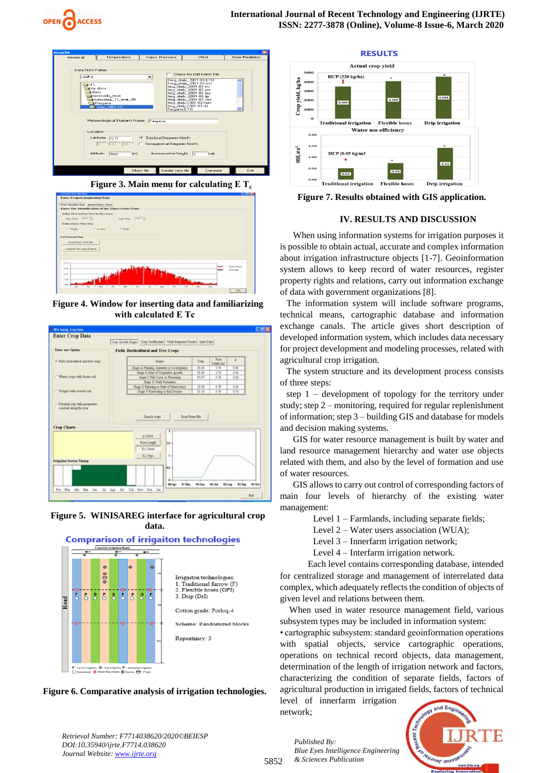



**Figure 3. Main menu for calculating Е Т<sup>с</sup>**

| <b>Enter Evapotranspiration Data</b>               |                    |                   |
|----------------------------------------------------|--------------------|-------------------|
| Dute Meanthration Incore Dute   Norw               |                    |                   |
| Enter The Identification of the Times Series Data  |                    |                   |
| Define First and hat Your for the swries:          |                    |                   |
| First Year (2011-1)                                | Last Year [2013 m] |                   |
| Define Sector Time Step                            |                    |                   |
| $-$ 30 days<br>$T$ Month                           | $\approx 2$ mate   |                   |
| <b>Cast Enterpool Data</b><br>Road Prime Ends File |                    |                   |
| Compute Etc using Evap56                           |                    |                   |
|                                                    |                    |                   |
|                                                    |                    |                   |
|                                                    |                    |                   |
| W.Map                                              |                    | <b>Data Deeps</b> |
| 5.80                                               |                    | Arrestore         |
| 2.87                                               |                    |                   |
| 1.953<br>×                                         |                    |                   |

**Figure 4. Window for inserting data and familiarizing with calculated Е Тс**



## **Figure 5. WINISAREG interface for agricultural crop data.**







*Retrieval Number: F7714038620/2020©BEIESP DOI:10.35940/ijrte.F7714.038620 Journal Website: www.ijrte.org*



**Figure 7. Results obtained with GIS application.**

#### **IV. RESULTS AND DISCUSSION**

When using information systems for irrigation purposes it is possible to obtain actual, accurate and complex information about irrigation infrastructure objects [1-7]. Geoinformation system allows to keep record of water resources, register property rights and relations, carry out information exchange of data with government organizations [8].

The information system will include software programs, technical means, cartographic database and information exchange canals. The article gives short description of developed information system, which includes data necessary for project development and modeling processes, related with agricultural crop irrigation.

The system structure and its development process consists of three steps:

step 1 – development of topology for the territory under study; step 2 – monitoring, required for regular replenishment of information; step 3 – building GIS and database for models and decision making systems.

GIS for water resource management is built by water and land resource management hierarchy and water use objects related with them, and also by the level of formation and use of water resources.

GIS allows to carry out control of corresponding factors of main four levels of hierarchy of the existing water management:

- Level 1 Farmlands, including separate fields;
- Level 2 Water users association (WUA);

Level 3 – Innerfarm irrigation network;

Level 4 – Interfarm irrigation network.

 Each level contains corresponding database, intended for centralized storage and management of interrelated data complex, which adequately reflects the condition of objects of given level and relations between them.

When used in water resource management field, various subsystem types may be included in information system:

• cartographic subsystem: standard geoinformation operations with spatial objects, service cartographic operations, operations on technical record objects, data management, determination of the length of irrigation network and factors, characterizing the condition of separate fields, factors of agricultural production in irrigated fields, factors of technical level of innerfarm irrigation

network;

5852



*Published By: Blue Eyes Intelligence Engineering & Sciences Publication*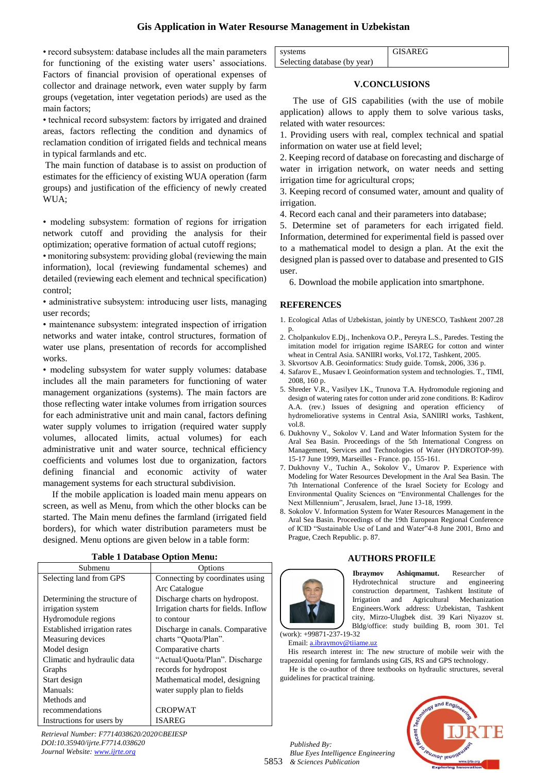## **Gis Application in Water Resourse Management in Uzbekistan**

• record subsystem: database includes all the main parameters for functioning of the existing water users' associations. Factors of financial provision of operational expenses of collector and drainage network, even water supply by farm groups (vegetation, inter vegetation periods) are used as the main factors;

• technical record subsystem: factors by irrigated and drained areas, factors reflecting the condition and dynamics of reclamation condition of irrigated fields and technical means in typical farmlands and etc.

The main function of database is to assist on production of estimates for the efficiency of existing WUA operation (farm groups) and justification of the efficiency of newly created WUA;

• modeling subsystem: formation of regions for irrigation network cutoff and providing the analysis for their optimization; operative formation of actual cutoff regions;

• monitoring subsystem: providing global (reviewing the main information), local (reviewing fundamental schemes) and detailed (reviewing each element and technical specification) control;

• administrative subsystem: introducing user lists, managing user records;

• maintenance subsystem: integrated inspection of irrigation networks and water intake, control structures, formation of water use plans, presentation of records for accomplished works.

• modeling subsystem for water supply volumes: database includes all the main parameters for functioning of water management organizations (systems). The main factors are those reflecting water intake volumes from irrigation sources for each administrative unit and main canal, factors defining water supply volumes to irrigation (required water supply volumes, allocated limits, actual volumes) for each administrative unit and water source, technical efficiency coefficients and volumes lost due to organization, factors defining financial and economic activity of water management systems for each structural subdivision.

If the mobile application is loaded main menu appears on screen, as well as Menu, from which the other blocks can be started. The Main menu defines the farmland (irrigated field borders), for which water distribution parameters must be designed. Menu options are given below in a table form:

|  |  | <b>Table 1 Database Option Menu:</b> |  |  |
|--|--|--------------------------------------|--|--|
|--|--|--------------------------------------|--|--|

| Submenu                      | Options                              |
|------------------------------|--------------------------------------|
| Selecting land from GPS      | Connecting by coordinates using      |
|                              | Arc Catalogue                        |
| Determining the structure of | Discharge charts on hydropost.       |
| irrigation system            | Irrigation charts for fields. Inflow |
| Hydromodule regions          | to contour                           |
| Established irrigation rates | Discharge in canals. Comparative     |
| Measuring devices            | charts "Quota/Plan".                 |
| Model design                 | Comparative charts                   |
| Climatic and hydraulic data  | "Actual/Quota/Plan". Discharge       |
| Graphs                       | records for hydropost                |
| Start design                 | Mathematical model, designing        |
| Manuals:                     | water supply plan to fields          |
| Methods and                  |                                      |
| recommendations              | <b>CROPWAT</b>                       |
| Instructions for users by    | <b>ISAREG</b>                        |

*Retrieval Number: F7714038620/2020©BEIESP DOI:10.35940/ijrte.F7714.038620 Journal Website: www.ijrte.org*

| systems                      | GISAREG |
|------------------------------|---------|
| Selecting database (by year) |         |

#### **V.CONCLUSIONS**

The use of GIS capabilities (with the use of mobile application) allows to apply them to solve various tasks, related with water resources:

1. Providing users with real, complex technical and spatial information on water use at field level;

2. Keeping record of database on forecasting and discharge of water in irrigation network, on water needs and setting irrigation time for agricultural crops;

3. Keeping record of consumed water, amount and quality of irrigation.

4. Record each canal and their parameters into database;

5. Determine set of parameters for each irrigated field. Information, determined for experimental field is passed over to a mathematical model to design a plan. At the exit the designed plan is passed over to database and presented to GIS user.

6. Download the mobile application into smartphone.

## **REFERENCES**

- 1. Ecological Atlas of Uzbekistan, jointly by UNESCO, Tashkent 2007.28 p.
- 2. Cholpankulov E.Dj., Inchenkova O.P., Pereyra L.S., Paredes. Testing the imitation model for irrigation regime ISAREG for cotton and winter wheat in Central Asia. SANIIRI works, Vol.172, Tashkent, 2005.
- 3. Skvortsov A.B. Geoinformatics: Study guide. Tomsk, 2006, 336 p.
- 4. Safarov E., Musaev I. Geoinformation system and technologies. T., TIMI, 2008, 160 p.
- 5. Shreder V.R., Vasilyev I.K., Trunova T.A. Hydromodule regioning and design of watering rates for cotton under arid zone conditions. B: Kadirov A.A. (rev.) Issues of designing and operation efficiency of hydromeliorative systems in Central Asia, SANIIRI works, Tashkent, vol.8.
- 6. Dukhovny V., Sokolov V. Land and Water Information System for the Aral Sea Basin. Proceedings of the 5th International Congress on Management, Services and Technologies of Water (HYDROTOP-99). 15-17 June 1999, Marseilles - France. pp. 155-161.
- 7. Dukhovny V., Tuchin A., Sokolov V., Umarov P. Experience with Modeling for Water Resources Development in the Aral Sea Basin. The 7th International Conference of the Israel Society for Ecology and Environmental Quality Sciences on "Environmental Challenges for the Next Millennium", Jerusalem, Israel, June 13-18, 1999.
- 8. Sokolov V. Information System for Water Resources Management in the Aral Sea Basin. Proceedings of the 19th European Regional Conference of ICID "Sustainable Use of Land and Water"4-8 June 2001, Brno and Prague, Czech Republic. p. 87.

#### **AUTHORS PROFILE**



**Ibraymov Ashiqmamut.** Researcher of Hydrotechnical structure and engineering construction department, Tashkent Institute of Irrigation and Agricultural Mechanization Engineers.Work address: Uzbekistan, Tashkent city, Mirzo-Ulugbek dist. 39 Kari Niyazov st. Bldg/office: study building B, room 301. Теl

(work): +99871-237-19-32

Email[: a.ibraymov@tiiame.uz](mailto:a.ibraymov@tiiame.uz)

His research interest in: The new structure of mobile weir with the trapezoidal opening for farmlands using GIS, RS and GPS technology.

He is the co-author of three textbooks on hydraulic structures, several guidelines for practical training.



5853 *& Sciences Publication Published By: Blue Eyes Intelligence Engineering*